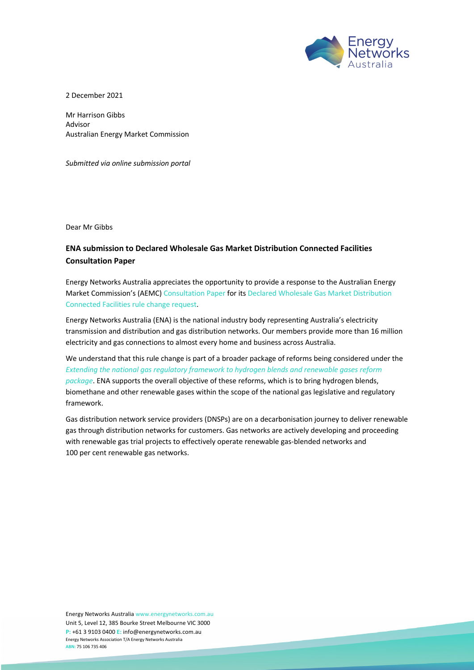

2 December 2021

Mr Harrison Gibbs Advisor Australian Energy Market Commission

*Submitted via online submission portal*

Dear Mr Gibbs

## **ENA submission to Declared Wholesale Gas Market Distribution Connected Facilities Consultation Paper**

Energy Networks Australia appreciates the opportunity to provide a response to the Australian Energy Market Commission's (AEMC) Consultation Paper for its Declared Wholesale Gas Market Distribution Connected Facilities rule change request.

Energy Networks Australia (ENA) is the national industry body representing Australia's electricity transmission and distribution and gas distribution networks. Our members provide more than 16 million electricity and gas connections to almost every home and business across Australia.

We understand that this rule change is part of a broader package of reforms being considered under the *Extending the national gas regulatory framework to hydrogen blends and renewable gases reform package*. ENA supports the overall objective of these reforms, which is to bring hydrogen blends, biomethane and other renewable gases within the scope of the national gas legislative and regulatory framework.

Gas distribution network service providers (DNSPs) are on a decarbonisation journey to deliver renewable gas through distribution networks for customers. Gas networks are actively developing and proceeding with renewable gas trial projects to effectively operate renewable gas-blended networks and 100 per cent renewable gas networks.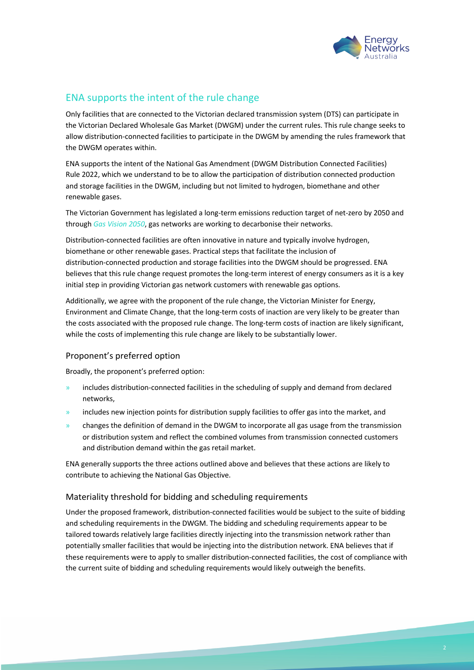

## ENA supports the intent of the rule change

Only facilities that are connected to the Victorian declared transmission system (DTS) can participate in the Victorian Declared Wholesale Gas Market (DWGM) under the current rules. This rule change seeks to allow distribution-connected facilities to participate in the DWGM by amending the rules framework that the DWGM operates within.

ENA supports the intent of the National Gas Amendment (DWGM Distribution Connected Facilities) Rule 2022, which we understand to be to allow the participation of distribution connected production and storage facilities in the DWGM, including but not limited to hydrogen, biomethane and other renewable gases.

The Victorian Government has legislated a long-term emissions reduction target of net-zero by 2050 and through *Gas Vision 2050*, gas networks are working to decarbonise their networks.

Distribution-connected facilities are often innovative in nature and typically involve hydrogen, biomethane or other renewable gases. Practical steps that facilitate the inclusion of distribution-connected production and storage facilities into the DWGM should be progressed. ENA believes that this rule change request promotes the long-term interest of energy consumers as it is a key initial step in providing Victorian gas network customers with renewable gas options.

Additionally, we agree with the proponent of the rule change, the Victorian Minister for Energy, Environment and Climate Change, that the long-term costs of inaction are very likely to be greater than the costs associated with the proposed rule change. The long-term costs of inaction are likely significant, while the costs of implementing this rule change are likely to be substantially lower.

## Proponent's preferred option

Broadly, the proponent's preferred option:

- » includes distribution-connected facilities in the scheduling of supply and demand from declared networks,
- includes new injection points for distribution supply facilities to offer gas into the market, and
- » changes the definition of demand in the DWGM to incorporate all gas usage from the transmission or distribution system and reflect the combined volumes from transmission connected customers and distribution demand within the gas retail market.

ENA generally supports the three actions outlined above and believes that these actions are likely to contribute to achieving the National Gas Objective.

## Materiality threshold for bidding and scheduling requirements

Under the proposed framework, distribution-connected facilities would be subject to the suite of bidding and scheduling requirements in the DWGM. The bidding and scheduling requirements appear to be tailored towards relatively large facilities directly injecting into the transmission network rather than potentially smaller facilities that would be injecting into the distribution network. ENA believes that if these requirements were to apply to smaller distribution-connected facilities, the cost of compliance with the current suite of bidding and scheduling requirements would likely outweigh the benefits.